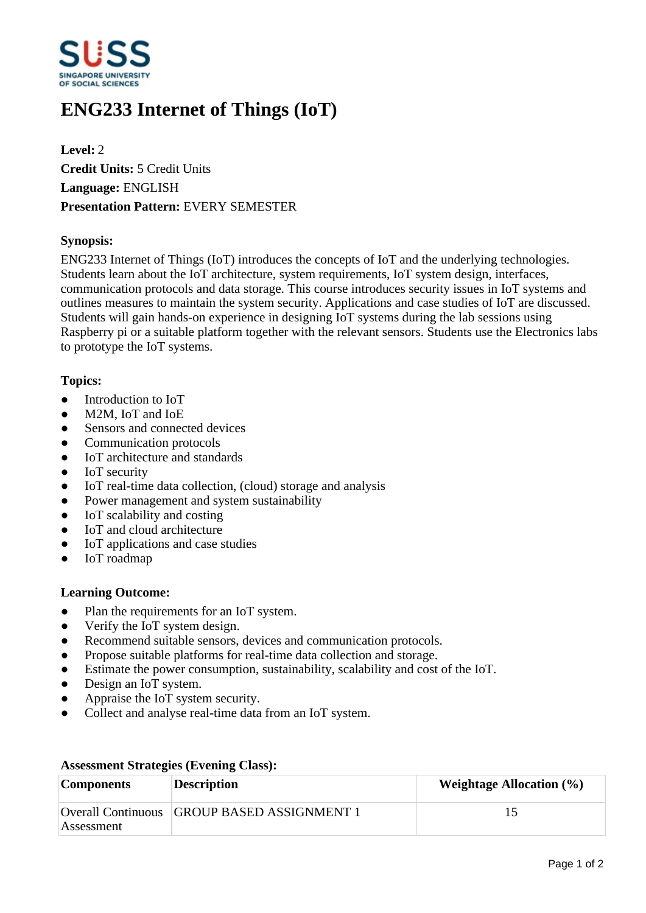

# **ENG233 Internet of Things (IoT)**

**Level:** 2 **Credit Units:** 5 Credit Units **Language:** ENGLISH **Presentation Pattern:** EVERY SEMESTER

## **Synopsis:**

ENG233 Internet of Things (IoT) introduces the concepts of IoT and the underlying technologies. Students learn about the IoT architecture, system requirements, IoT system design, interfaces, communication protocols and data storage. This course introduces security issues in IoT systems and outlines measures to maintain the system security. Applications and case studies of IoT are discussed. Students will gain hands-on experience in designing IoT systems during the lab sessions using Raspberry pi or a suitable platform together with the relevant sensors. Students use the Electronics labs to prototype the IoT systems.

### **Topics:**

- $\bullet$  Introduction to IoT
- M2M, IoT and IoE
- Sensors and connected devices
- ƔCommunication protocols
- IoT architecture and standards
- IoT security
- IoT real-time data collection, (cloud) storage and analysis
- Power management and system sustainability
- $\bullet$  IoT scalability and costing
- IoT and cloud architecture
- IoT applications and case studies
- IoT roadmap

### **Learning Outcome:**

- Plan the requirements for an IoT system.
- Verify the IoT system design.
- Recommend suitable sensors, devices and communication protocols.
- Propose suitable platforms for real-time data collection and storage.
- Estimate the power consumption, sustainability, scalability and cost of the IoT.
- Design an IoT system.
- Appraise the IoT system security.
- ƔCollect and analyse real-time data from an IoT system.

| <b>Components</b> | <b>Description</b>                          | Weightage Allocation $(\% )$ |
|-------------------|---------------------------------------------|------------------------------|
| Assessment        | Overall Continuous GROUP BASED ASSIGNMENT 1 |                              |

#### **Assessment Strategies (Evening Class):**